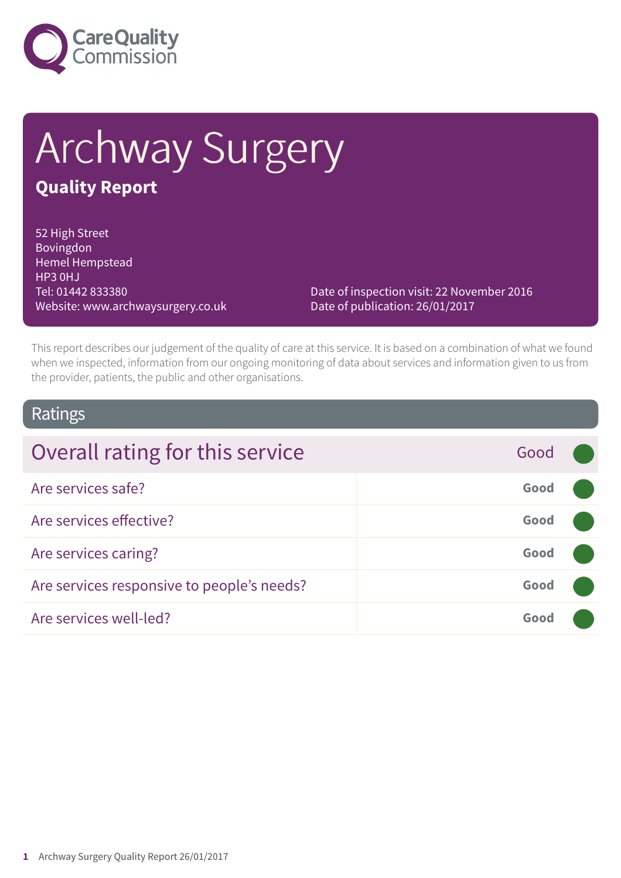

# Archway Surgery **Quality Report**

52 High Street Bovingdon Hemel Hempstead HP3 0HJ Tel: 01442 833380 Website: www.archwaysurgery.co.uk

Date of inspection visit: 22 November 2016 Date of publication: 26/01/2017

This report describes our judgement of the quality of care at this service. It is based on a combination of what we found when we inspected, information from our ongoing monitoring of data about services and information given to us from the provider, patients, the public and other organisations.

### Ratings

| Overall rating for this service            | Good |  |
|--------------------------------------------|------|--|
| Are services safe?                         | Good |  |
| Are services effective?                    | Good |  |
| Are services caring?                       | Good |  |
| Are services responsive to people's needs? | Good |  |
| Are services well-led?                     | Good |  |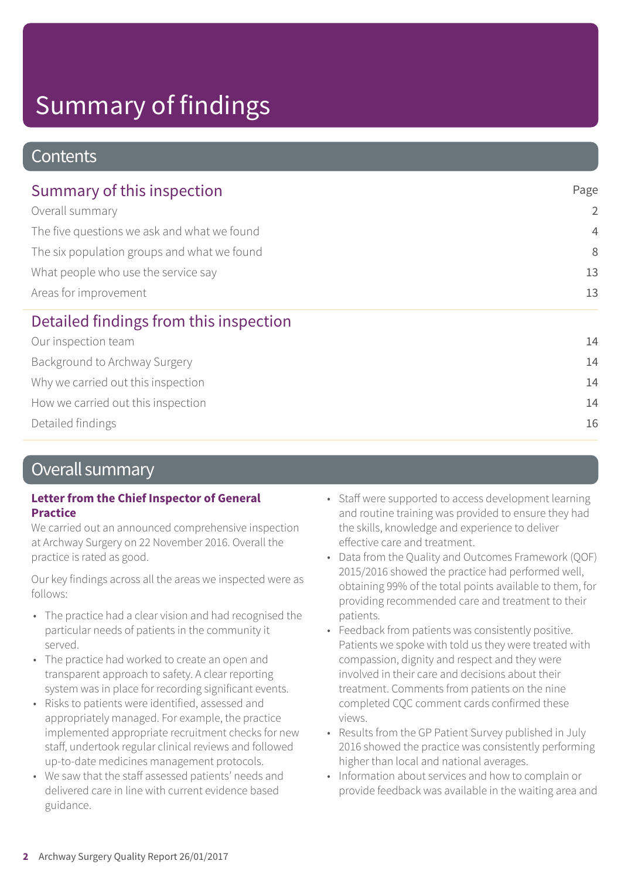### **Contents**

| Summary of this inspection                                                                                                                           | Page           |
|------------------------------------------------------------------------------------------------------------------------------------------------------|----------------|
| Overall summary<br>The five questions we ask and what we found<br>The six population groups and what we found<br>What people who use the service say | $\overline{2}$ |
|                                                                                                                                                      | $\overline{4}$ |
|                                                                                                                                                      | 8              |
|                                                                                                                                                      | 13             |
| Areas for improvement                                                                                                                                | 13             |
| Detailed findings from this inspection                                                                                                               |                |
| Our inspection team                                                                                                                                  | 14             |
| Background to Archway Surgery                                                                                                                        | 14             |
| Why we carried out this inspection                                                                                                                   | 14             |
| How we carried out this inspection                                                                                                                   | 14             |
| Detailed findings                                                                                                                                    | 16             |

### Overall summary

### **Letter from the Chief Inspector of General Practice**

We carried out an announced comprehensive inspection at Archway Surgery on 22 November 2016. Overall the practice is rated as good.

Our key findings across all the areas we inspected were as follows:

- The practice had a clear vision and had recognised the particular needs of patients in the community it served.
- The practice had worked to create an open and transparent approach to safety. A clear reporting system was in place for recording significant events.
- Risks to patients were identified, assessed and appropriately managed. For example, the practice implemented appropriate recruitment checks for new staff, undertook regular clinical reviews and followed up-to-date medicines management protocols.
- We saw that the staff assessed patients' needs and delivered care in line with current evidence based guidance.
- Staff were supported to access development learning and routine training was provided to ensure they had the skills, knowledge and experience to deliver effective care and treatment.
- Data from the Quality and Outcomes Framework (QOF) 2015/2016 showed the practice had performed well, obtaining 99% of the total points available to them, for providing recommended care and treatment to their patients.
- Feedback from patients was consistently positive. Patients we spoke with told us they were treated with compassion, dignity and respect and they were involved in their care and decisions about their treatment. Comments from patients on the nine completed CQC comment cards confirmed these views.
- Results from the GP Patient Survey published in July 2016 showed the practice was consistently performing higher than local and national averages.
- Information about services and how to complain or provide feedback was available in the waiting area and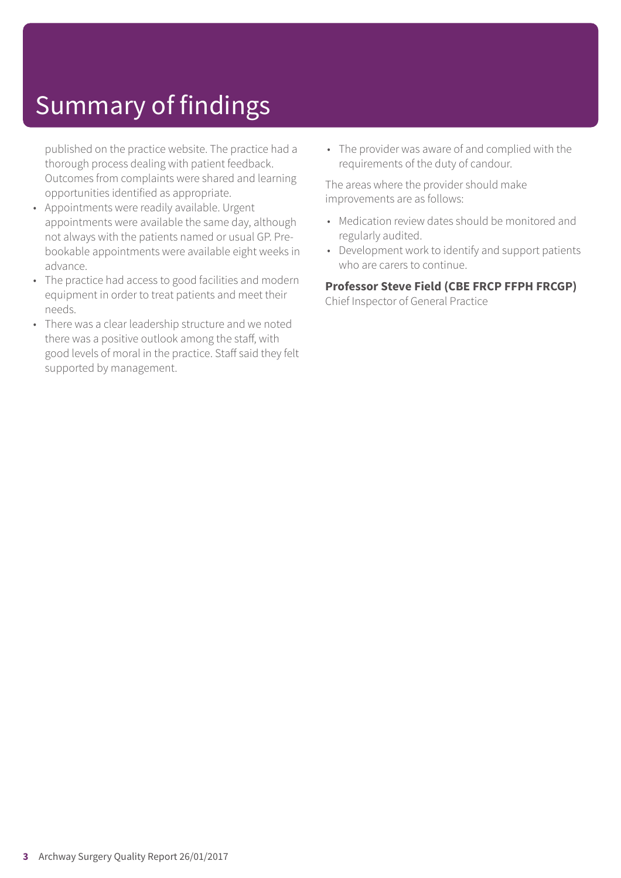published on the practice website. The practice had a thorough process dealing with patient feedback. Outcomes from complaints were shared and learning opportunities identified as appropriate.

- Appointments were readily available. Urgent appointments were available the same day, although not always with the patients named or usual GP. Prebookable appointments were available eight weeks in advance.
- The practice had access to good facilities and modern equipment in order to treat patients and meet their needs.
- There was a clear leadership structure and we noted there was a positive outlook among the staff, with good levels of moral in the practice. Staff said they felt supported by management.

• The provider was aware of and complied with the requirements of the duty of candour.

The areas where the provider should make improvements are as follows:

- Medication review dates should be monitored and regularly audited.
- Development work to identify and support patients who are carers to continue.

**Professor Steve Field (CBE FRCP FFPH FRCGP)** Chief Inspector of General Practice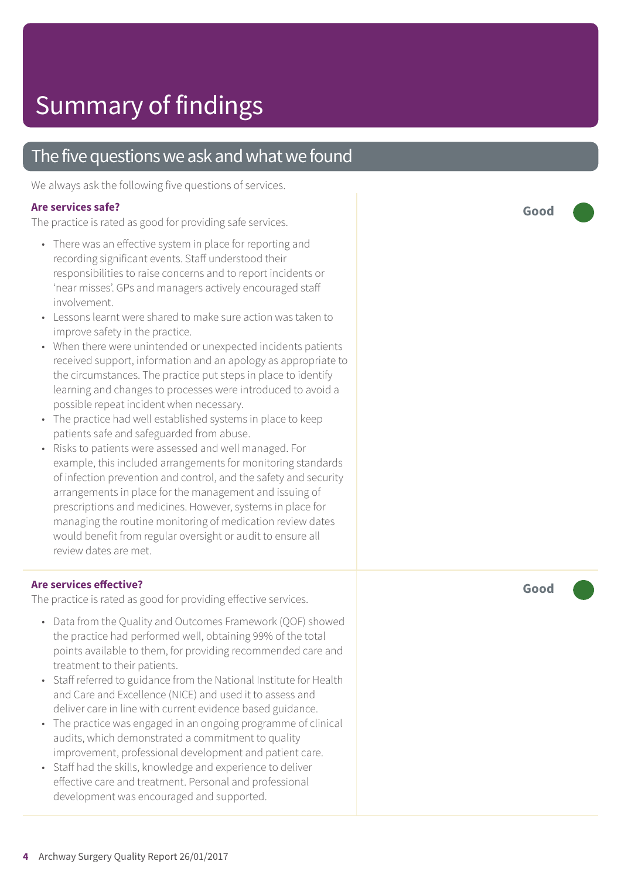### The five questions we ask and what we found

We always ask the following five questions of services.

### **Ar e services safe ?**

The practic e is rated as good for providing saf e services.

- There was an effective system in place for reporting and recording significant events. Staff understood their responsibilities to raise concerns and to report incidents or 'near misses'. GP s and manager s actively encouraged staff involvement.
- Lessons learnt were shared to make sure action was taken to improve saf ety in the practice.
- When ther e wer e unintended or unexpected incidents patients received support, information and an apology as appropriate to the circumstances. The practic e put steps in plac e t o identify learning and changes t o processes wer e introduced t o avoid a possible repeat incident when necessar y.
- The practice had well established systems in place to keep patients saf e and saf eguarded from abuse.
- Risks t o patients wer e assessed and well managed. For example, this included arrangements for monitoring standards of infection pr evention and control, and the saf ety and security arrangements in plac e for the management and issuing of prescriptions and medicines. However , systems in plac e for managing the routine monitoring of medication r evie w dates would benefit from regular oversight or audit to ensure all r evie w dates ar e me t.

### **Ar e services e ffective ?**

The practic e is rated as good for providing effective services.

- Dat a from the Quality and Out comes F ramework (QOF) showed the practic e had performed well, obtaining 99% of the total points available to them, for providing recommended care and tr eatment t o their patients.
- Staff referred to guidance from the National Institute for Health and Car e and Ex cellenc e (NICE) and used it t o assess and deliver car e in line with current evidenc e based guidance.
- The practic e was engaged in an ongoing programme of clinical audits, which demonstrated a commitment t o quality improvement , professional development and patient care.
- Staff had the skills, knowledg e and experienc e t o deliver effective care and treatment. Personal and professional development was encouraged and supported.

**Good –––**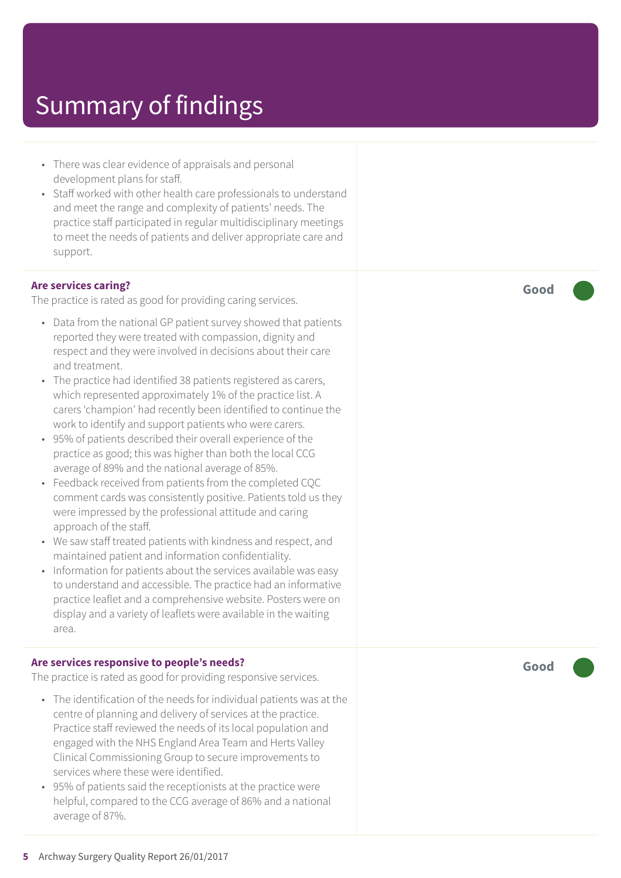- There was clear evidence of appraisals and personal development plans for staff.
- Staff worked with other health care professionals to understand and meet the range and complexity of patients' needs. The practice staff participated in regular multidisciplinary meetings to meet the needs of patients and deliver appropriate care and support.

#### **Are services caring?**

The practice is rated as good for providing caring services.

- Data from the national GP patient survey showed that patients reported they were treated with compassion, dignity and respect and they were involved in decisions about their care and treatment.
- The practice had identified 38 patients registered as carers, which represented approximately 1% of the practice list. A carers 'champion' had recently been identified to continue the work to identify and support patients who were carers.
- 95% of patients described their overall experience of the practice as good; this was higher than both the local CCG average of 89% and the national average of 85%.
- Feedback received from patients from the completed CQC comment cards was consistently positive. Patients told us they were impressed by the professional attitude and caring approach of the staff.
- We saw staff treated patients with kindness and respect, and maintained patient and information confidentiality.
- Information for patients about the services available was easy to understand and accessible. The practice had an informative practice leaflet and a comprehensive website. Posters were on display and a variety of leaflets were available in the waiting area.

#### **Are services responsive to people's needs?**

The practice is rated as good for providing responsive services.

- The identification of the needs for individual patients was at the centre of planning and delivery of services at the practice. Practice staff reviewed the needs of its local population and engaged with the NHS England Area Team and Herts Valley Clinical Commissioning Group to secure improvements to services where these were identified.
- 95% of patients said the receptionists at the practice were helpful, compared to the CCG average of 86% and a national average of 87%.

**Good –––**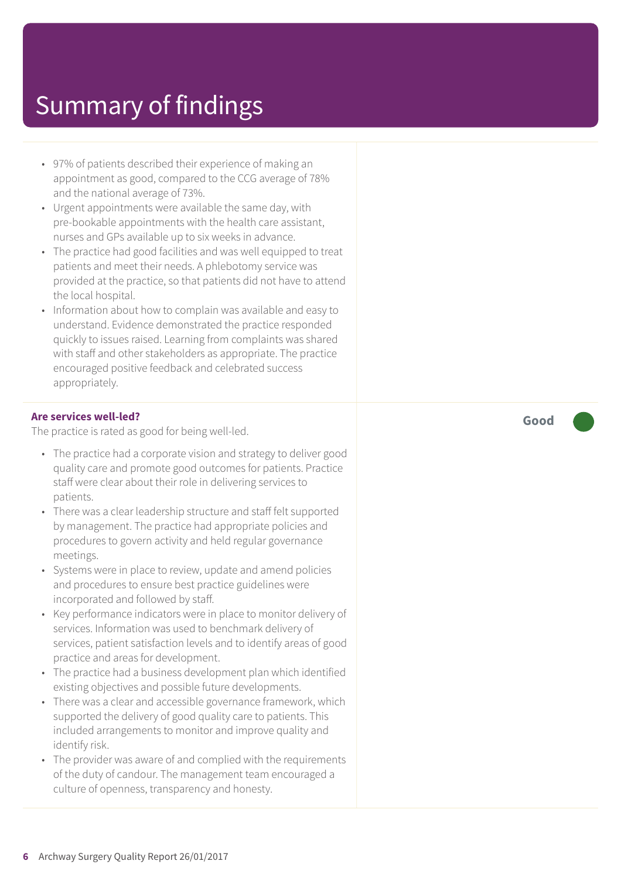- 97% of patients described their experience of making an appointment as good, compared to the CCG average of 78% and the national average of 73%.
- Urgent appointments were available the same day, with pre-bookable appointments with the health care assistant, nurses and GPs available up to six weeks in advance.
- The practice had good facilities and was well equipped to treat patients and meet their needs. A phlebotomy service was provided at the practice, so that patients did not have to attend the local hospital.
- Information about how to complain was available and easy to understand. Evidence demonstrated the practice responded quickly to issues raised. Learning from complaints was shared with staff and other stakeholders as appropriate. The practice encouraged positive feedback and celebrated success appropriately.

#### **Are services well-led?**

The practice is rated as good for being well-led.

- The practice had a corporate vision and strategy to deliver good quality care and promote good outcomes for patients. Practice staff were clear about their role in delivering services to patients.
- There was a clear leadership structure and staff felt supported by management. The practice had appropriate policies and procedures to govern activity and held regular governance meetings.
- Systems were in place to review, update and amend policies and procedures to ensure best practice guidelines were incorporated and followed by staff.
- Key performance indicators were in place to monitor delivery of services. Information was used to benchmark delivery of services, patient satisfaction levels and to identify areas of good practice and areas for development.
- The practice had a business development plan which identified existing objectives and possible future developments.
- There was a clear and accessible governance framework, which supported the delivery of good quality care to patients. This included arrangements to monitor and improve quality and identify risk.
- The provider was aware of and complied with the requirements of the duty of candour. The management team encouraged a culture of openness, transparency and honesty.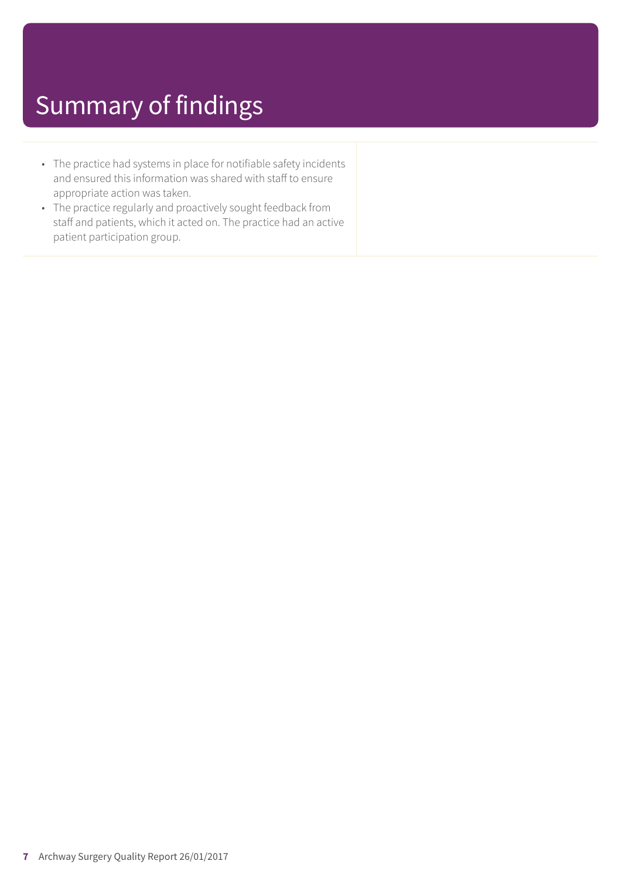- The practice had systems in place for notifiable safety incidents and ensured this information was shared with staff to ensure appropriate action was taken.
- The practice regularly and proactively sought feedback from staff and patients, which it acted on. The practice had an active patient participation group.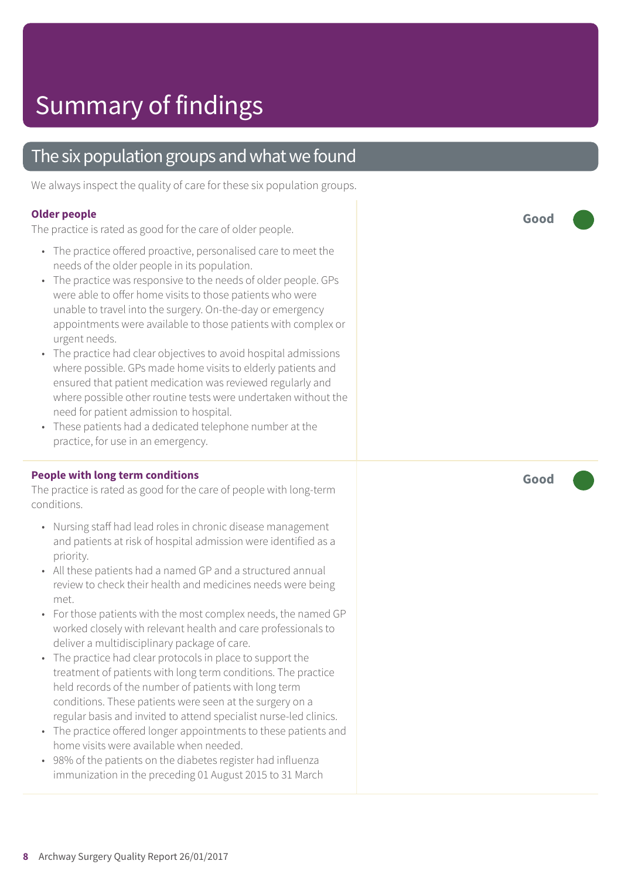### The six population groups and what we found

We always inspect the quality of care for these six population groups.

#### **Older people**

The practice is rated as good for the care of older people.

- The practice offered proactive, personalised care to meet the needs of the older people in its population.
- The practice was responsive to the needs of older people. GPs were able to offer home visits to those patients who were unable to travel into the surgery. On-the-day or emergency appointments were available to those patients with complex or urgent needs.
- The practice had clear objectives to avoid hospital admissions where possible. GPs made home visits to elderly patients and ensured that patient medication was reviewed regularly and where possible other routine tests were undertaken without the need for patient admission to hospital.
- These patients had a dedicated telephone number at the practice, for use in an emergency.

#### **People with long term conditions**

The practice is rated as good for the care of people with long-term conditions.

- Nursing staff had lead roles in chronic disease management and patients at risk of hospital admission were identified as a priority.
- All these patients had a named GP and a structured annual review to check their health and medicines needs were being met.
- For those patients with the most complex needs, the named GP worked closely with relevant health and care professionals to deliver a multidisciplinary package of care.
- The practice had clear protocols in place to support the treatment of patients with long term conditions. The practice held records of the number of patients with long term conditions. These patients were seen at the surgery on a regular basis and invited to attend specialist nurse-led clinics.
- The practice offered longer appointments to these patients and home visits were available when needed.
- 98% of the patients on the diabetes register had influenza immunization in the preceding 01 August 2015 to 31 March

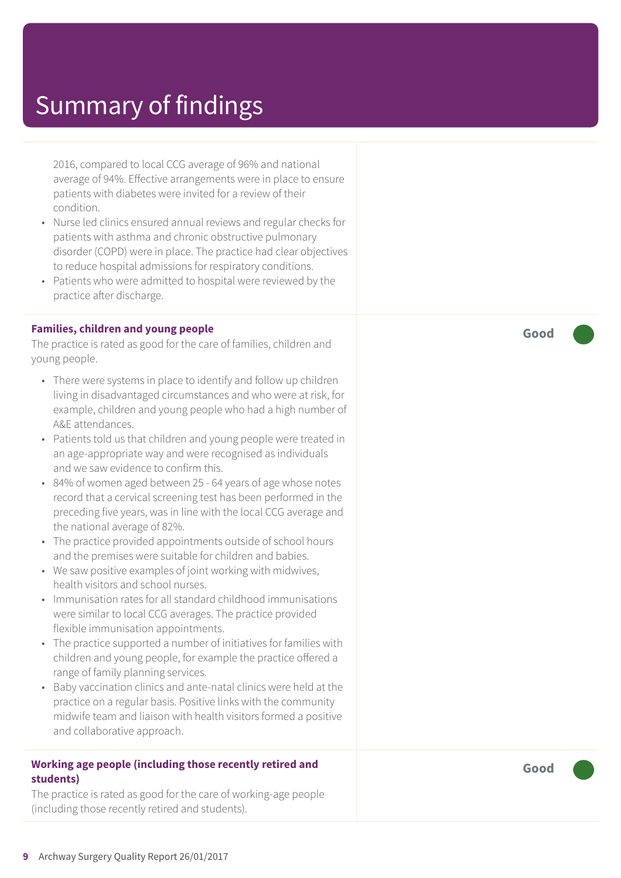2016, compared to local CCG average of 96% and national average of 94%. Effective arrangements were in place to ensure patients with diabetes were invited for a review of their condition.

- Nurse led clinics ensured annual reviews and regular checks for patients with asthma and chronic obstructive pulmonary disorder (COPD) were in place. The practice had clear objectives to reduce hospital admissions for respiratory conditions.
- Patients who were admitted to hospital were reviewed by the practice after discharge.

#### **Families, children and young people**

The practice is rated as good for the care of families, children and young people.

- There were systems in place to identify and follow up children living in disadvantaged circumstances and who were at risk, for example, children and young people who had a high number of A&E attendances.
- Patients told us that children and young people were treated in an age-appropriate way and were recognised as individuals and we saw evidence to confirm this.
- 84% of women aged between 25 64 years of age whose notes record that a cervical screening test has been performed in the preceding five years, was in line with the local CCG average and the national average of 82%.
- The practice provided appointments outside of school hours and the premises were suitable for children and babies.
- We saw positive examples of joint working with midwives, health visitors and school nurses.
- Immunisation rates for all standard childhood immunisations were similar to local CCG averages. The practice provided flexible immunisation appointments.
- The practice supported a number of initiatives for families with children and young people, for example the practice offered a range of family planning services.
- Baby vaccination clinics and ante-natal clinics were held at the practice on a regular basis. Positive links with the community midwife team and liaison with health visitors formed a positive and collaborative approach.

#### **Working age people (including those recently retired and students)**

The practice is rated as good for the care of working-age people (including those recently retired and students).

**Good –––**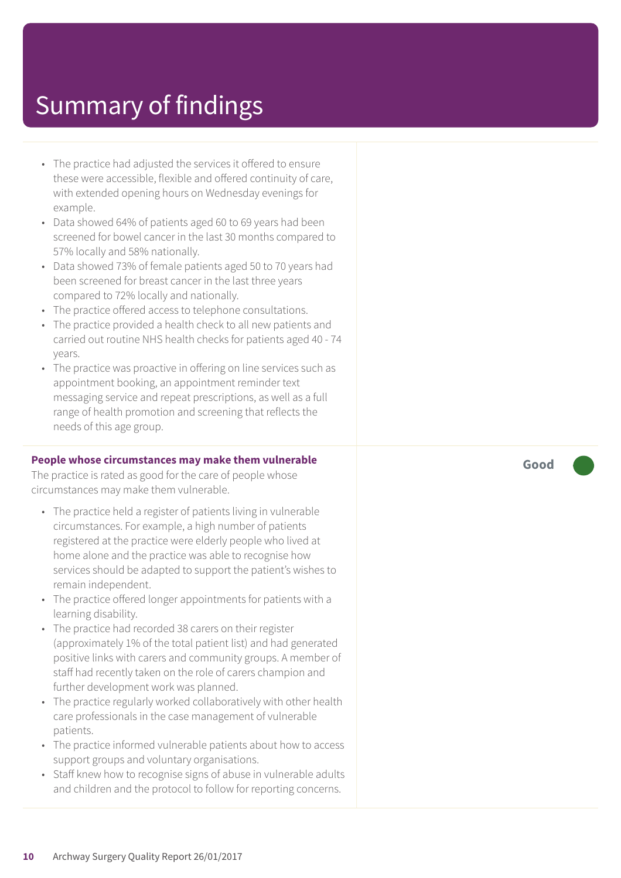- The practice had adjusted the services it offered to ensure these were accessible, flexible and offered continuity of care, with extended opening hours on Wednesday evenings for example.
- Data showed 64% of patients aged 60 to 69 years had been screened for bowel cancer in the last 30 months compared to 57% locally and 58% nationally.
- Data showed 73% of female patients aged 50 to 70 years had been screened for breast cancer in the last three years compared to 72% locally and nationally.
- The practice offered access to telephone consultations.
- The practice provided a health check to all new patients and carried out routine NHS health checks for patients aged 40 - 74 years.
- The practice was proactive in offering on line services such as appointment booking, an appointment reminder text messaging service and repeat prescriptions, as well as a full range of health promotion and screening that reflects the needs of this age group.

#### **People whose circumstances may make them vulnerable**

The practice is rated as good for the care of people whose circumstances may make them vulnerable.

- The practice held a register of patients living in vulnerable circumstances. For example, a high number of patients registered at the practice were elderly people who lived at home alone and the practice was able to recognise how services should be adapted to support the patient's wishes to remain independent.
- The practice offered longer appointments for patients with a learning disability.
- The practice had recorded 38 carers on their register (approximately 1% of the total patient list) and had generated positive links with carers and community groups. A member of staff had recently taken on the role of carers champion and further development work was planned.
- The practice regularly worked collaboratively with other health care professionals in the case management of vulnerable patients.
- The practice informed vulnerable patients about how to access support groups and voluntary organisations.
- Staff knew how to recognise signs of abuse in vulnerable adults and children and the protocol to follow for reporting concerns.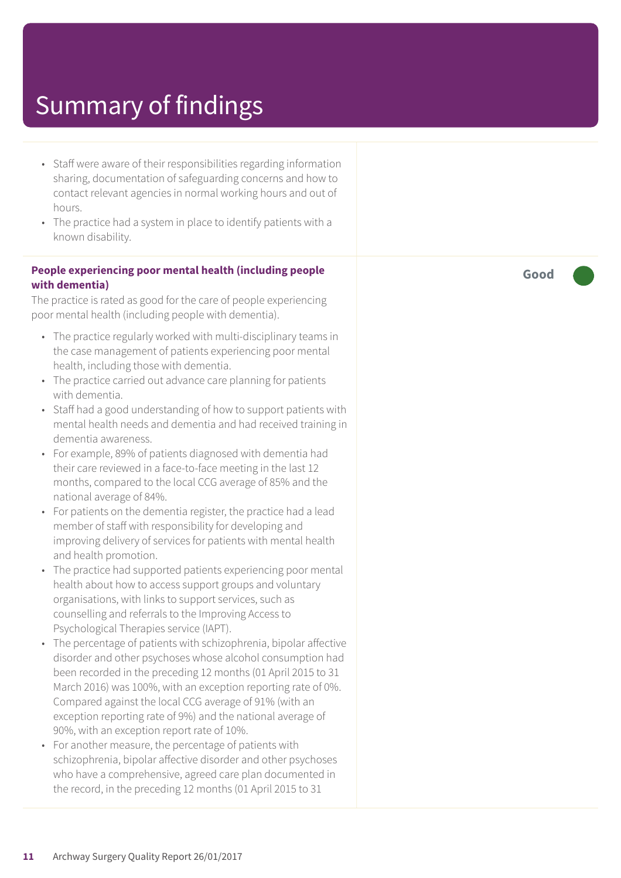- Staff were aware of their responsibilities regarding information sharing, documentation of safeguarding concerns and how to contact relevant agencies in normal working hours and out of hours.
- The practice had a system in place to identify patients with a known disability.

#### **People experiencing poor mental health (including people with dementia)**

The practice is rated as good for the care of people experiencing poor mental health (including people with dementia).

- The practice regularly worked with multi-disciplinary teams in the case management of patients experiencing poor mental health, including those with dementia.
- The practice carried out advance care planning for patients with dementia.
- Staff had a good understanding of how to support patients with mental health needs and dementia and had received training in dementia awareness.
- For example, 89% of patients diagnosed with dementia had their care reviewed in a face-to-face meeting in the last 12 months, compared to the local CCG average of 85% and the national average of 84%.
- For patients on the dementia register, the practice had a lead member of staff with responsibility for developing and improving delivery of services for patients with mental health and health promotion.
- The practice had supported patients experiencing poor mental health about how to access support groups and voluntary organisations, with links to support services, such as counselling and referrals to the Improving Access to Psychological Therapies service (IAPT).
- The percentage of patients with schizophrenia, bipolar affective disorder and other psychoses whose alcohol consumption had been recorded in the preceding 12 months (01 April 2015 to 31 March 2016) was 100%, with an exception reporting rate of 0%. Compared against the local CCG average of 91% (with an exception reporting rate of 9%) and the national average of 90%, with an exception report rate of 10%.
- For another measure, the percentage of patients with schizophrenia, bipolar affective disorder and other psychoses who have a comprehensive, agreed care plan documented in the record, in the preceding 12 months (01 April 2015 to 31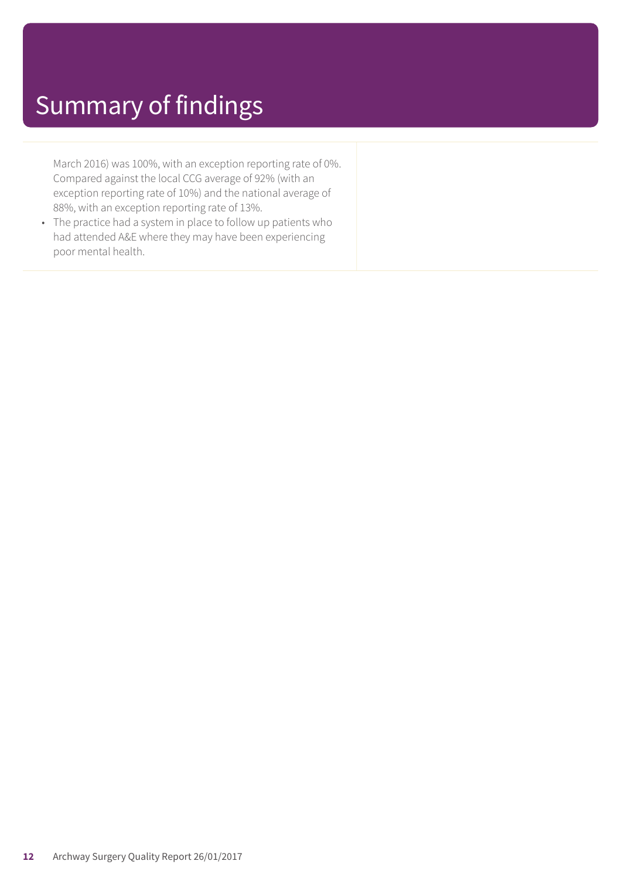March 2016) was 100%, with an exception reporting rate of 0%. Compared against the local CCG average of 92% (with an exception reporting rate of 10%) and the national average of 88%, with an exception reporting rate of 13%.

• The practice had a system in place to follow up patients who had attended A&E where they may have been experiencing poor mental health.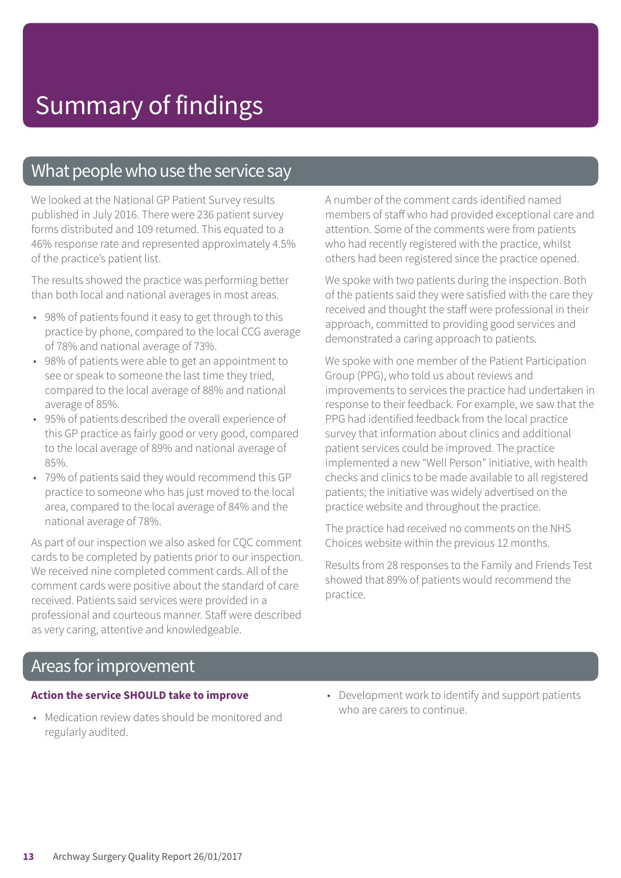### What people who use the service say

We looked at the National GP Patient Survey results published in July 2016. There were 236 patient survey forms distributed and 109 returned. This equated to a 46% response rate and represented approximately 4.5% of the practice's patient list.

The results showed the practice was performing better than both local and national averages in most areas.

- 98% of patients found it easy to get through to this practice by phone, compared to the local CCG average of 78% and national average of 73%.
- 98% of patients were able to get an appointment to see or speak to someone the last time they tried, compared to the local average of 88% and national average of 85%.
- 95% of patients described the overall experience of this GP practice as fairly good or very good, compared to the local average of 89% and national average of 85%.
- 79% of patients said they would recommend this GP practice to someone who has just moved to the local area, compared to the local average of 84% and the national average of 78%.

As part of our inspection we also asked for CQC comment cards to be completed by patients prior to our inspection. We received nine completed comment cards. All of the comment cards were positive about the standard of care received. Patients said services were provided in a professional and courteous manner. Staff were described as very caring, attentive and knowledgeable.

A number of the comment cards identified named members of staff who had provided exceptional care and attention. Some of the comments were from patients who had recently registered with the practice, whilst others had been registered since the practice opened.

We spoke with two patients during the inspection. Both of the patients said they were satisfied with the care they received and thought the staff were professional in their approach, committed to providing good services and demonstrated a caring approach to patients.

We spoke with one member of the Patient Participation Group (PPG), who told us about reviews and improvements to services the practice had undertaken in response to their feedback. For example, we saw that the PPG had identified feedback from the local practice survey that information about clinics and additional patient services could be improved. The practice implemented a new "Well Person" initiative, with health checks and clinics to be made available to all registered patients; the initiative was widely advertised on the practice website and throughout the practice.

The practice had received no comments on the NHS Choices website within the previous 12 months.

Results from 28 responses to the Family and Friends Test showed that 89% of patients would recommend the practice.

### Areas for improvement

#### **Action the service SHOULD take to improve**

- Medication review dates should be monitored and regularly audited.
- Development work to identify and support patients who are carers to continue.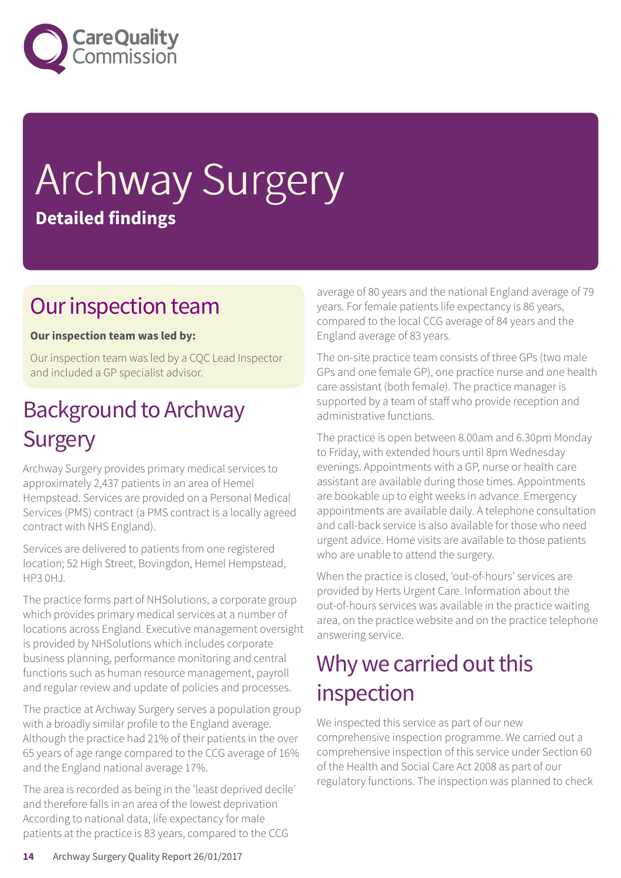

# Archway Surgery **Detailed findings**

### Our inspection team

### **Our inspection team was led by:**

Our inspection team was led by a CQC Lead Inspector and included a GP specialist advisor.

### **Background to Archway Surgery**

Archway Surgery provides primary medical services to approximately 2,437 patients in an area of Hemel Hempstead. Services are provided on a Personal Medical Services (PMS) contract (a PMS contract is a locally agreed contract with NHS England).

Services are delivered to patients from one registered location; 52 High Street, Bovingdon, Hemel Hempstead, **HP3 0HJ.** 

The practice forms part of NHSolutions, a corporate group which provides primary medical services at a number of locations across England. Executive management oversight is provided by NHSolutions which includes corporate business planning, performance monitoring and central functions such as human resource management, payroll and regular review and update of policies and processes.

The practice at Archway Surgery serves a population group with a broadly similar profile to the England average. Although the practice had 21% of their patients in the over 65 years of age range compared to the CCG average of 16% and the England national average 17%.

The area is recorded as being in the 'least deprived decile' and therefore falls in an area of the lowest deprivation According to national data, life expectancy for male patients at the practice is 83 years, compared to the CCG

average of 80 years and the national England average of 79 years. For female patients life expectancy is 86 years, compared to the local CCG average of 84 years and the England average of 83 years.

The on-site practice team consists of three GPs (two male GPs and one female GP), one practice nurse and one health care assistant (both female). The practice manager is supported by a team of staff who provide reception and administrative functions.

The practice is open between 8.00am and 6.30pm Monday to Friday, with extended hours until 8pm Wednesday evenings. Appointments with a GP, nurse or health care assistant are available during those times. Appointments are bookable up to eight weeks in advance. Emergency appointments are available daily. A telephone consultation and call-back service is also available for those who need urgent advice. Home visits are available to those patients who are unable to attend the surgery.

When the practice is closed, 'out-of-hours' services are provided by Herts Urgent Care. Information about the out-of-hours services was available in the practice waiting area, on the practice website and on the practice telephone answering service.

### Why we carried out this inspection

We inspected this service as part of our new comprehensive inspection programme. We carried out a comprehensive inspection of this service under Section 60 of the Health and Social Care Act 2008 as part of our regulatory functions. The inspection was planned to check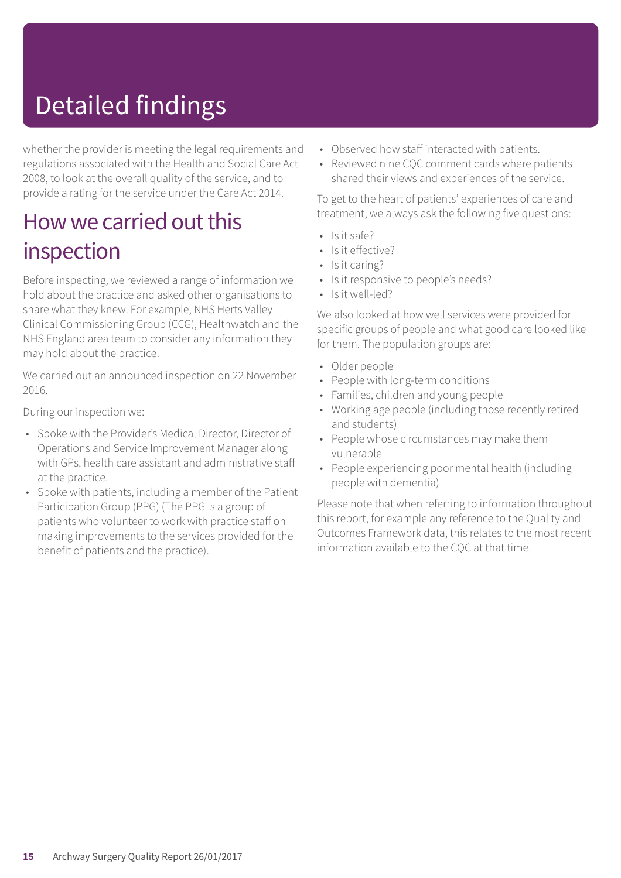# Detailed findings

whether the provider is meeting the legal requirements and regulations associated with the Health and Social Care Act 2008, to look at the overall quality of the service, and to provide a rating for the service under the Care Act 2014.

### How we carried out this inspection

Before inspecting, we reviewed a range of information we hold about the practice and asked other organisations to share what they knew. For example, NHS Herts Valley Clinical Commissioning Group (CCG), Healthwatch and the NHS England area team to consider any information they may hold about the practice.

We carried out an announced inspection on 22 November 2016.

During our inspection we:

- Spoke with the Provider's Medical Director, Director of Operations and Service Improvement Manager along with GPs, health care assistant and administrative staff at the practice.
- Spoke with patients, including a member of the Patient Participation Group (PPG) (The PPG is a group of patients who volunteer to work with practice staff on making improvements to the services provided for the benefit of patients and the practice).
- Observed how staff interacted with patients.
- Reviewed nine CQC comment cards where patients shared their views and experiences of the service.

To get to the heart of patients' experiences of care and treatment, we always ask the following five questions:

- Is it safe?
- Is it effective?
- Is it caring?
- Is it responsive to people's needs?
- $\cdot$  Is it well-led?

We also looked at how well services were provided for specific groups of people and what good care looked like for them. The population groups are:

- Older people
- People with long-term conditions
- Families, children and young people
- Working age people (including those recently retired and students)
- People whose circumstances may make them vulnerable
- People experiencing poor mental health (including people with dementia)

Please note that when referring to information throughout this report, for example any reference to the Quality and Outcomes Framework data, this relates to the most recent information available to the CQC at that time.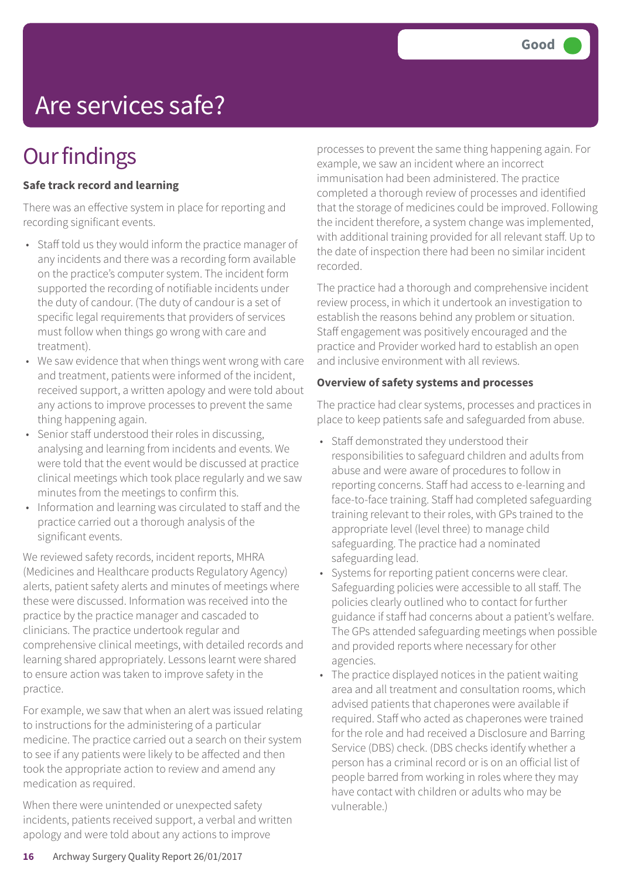# Are services safe?

### **Our findings**

### **Safe track record and learning**

There was an effective system in place for reporting and recording significant events.

- Staff told us they would inform the practice manager of any incidents and there was a recording form available on the practice's computer system. The incident form supported the recording of notifiable incidents under the duty of candour. (The duty of candour is a set of specific legal requirements that providers of services must follow when things go wrong with care and treatment).
- We saw evidence that when things went wrong with care and treatment, patients were informed of the incident, received support, a written apology and were told about any actions to improve processes to prevent the same thing happening again.
- Senior staff understood their roles in discussing, analysing and learning from incidents and events. We were told that the event would be discussed at practice clinical meetings which took place regularly and we saw minutes from the meetings to confirm this.
- Information and learning was circulated to staff and the practice carried out a thorough analysis of the significant events.

We reviewed safety records, incident reports, MHRA (Medicines and Healthcare products Regulatory Agency) alerts, patient safety alerts and minutes of meetings where these were discussed. Information was received into the practice by the practice manager and cascaded to clinicians. The practice undertook regular and comprehensive clinical meetings, with detailed records and learning shared appropriately. Lessons learnt were shared to ensure action was taken to improve safety in the practice.

For example, we saw that when an alert was issued relating to instructions for the administering of a particular medicine. The practice carried out a search on their system to see if any patients were likely to be affected and then took the appropriate action to review and amend any medication as required.

When there were unintended or unexpected safety incidents, patients received support, a verbal and written apology and were told about any actions to improve

processes to prevent the same thing happening again. For example, we saw an incident where an incorrect immunisation had been administered. The practice completed a thorough review of processes and identified that the storage of medicines could be improved. Following the incident therefore, a system change was implemented, with additional training provided for all relevant staff. Up to the date of inspection there had been no similar incident recorded.

The practice had a thorough and comprehensive incident review process, in which it undertook an investigation to establish the reasons behind any problem or situation. Staff engagement was positively encouraged and the practice and Provider worked hard to establish an open and inclusive environment with all reviews.

#### **Overview of safety systems and processes**

The practice had clear systems, processes and practices in place to keep patients safe and safeguarded from abuse.

- Staff demonstrated they understood their responsibilities to safeguard children and adults from abuse and were aware of procedures to follow in reporting concerns. Staff had access to e-learning and face-to-face training. Staff had completed safeguarding training relevant to their roles, with GPs trained to the appropriate level (level three) to manage child safeguarding. The practice had a nominated safeguarding lead.
- Systems for reporting patient concerns were clear. Safeguarding policies were accessible to all staff. The policies clearly outlined who to contact for further guidance if staff had concerns about a patient's welfare. The GPs attended safeguarding meetings when possible and provided reports where necessary for other agencies.
- The practice displayed notices in the patient waiting area and all treatment and consultation rooms, which advised patients that chaperones were available if required. Staff who acted as chaperones were trained for the role and had received a Disclosure and Barring Service (DBS) check. (DBS checks identify whether a person has a criminal record or is on an official list of people barred from working in roles where they may have contact with children or adults who may be vulnerable.)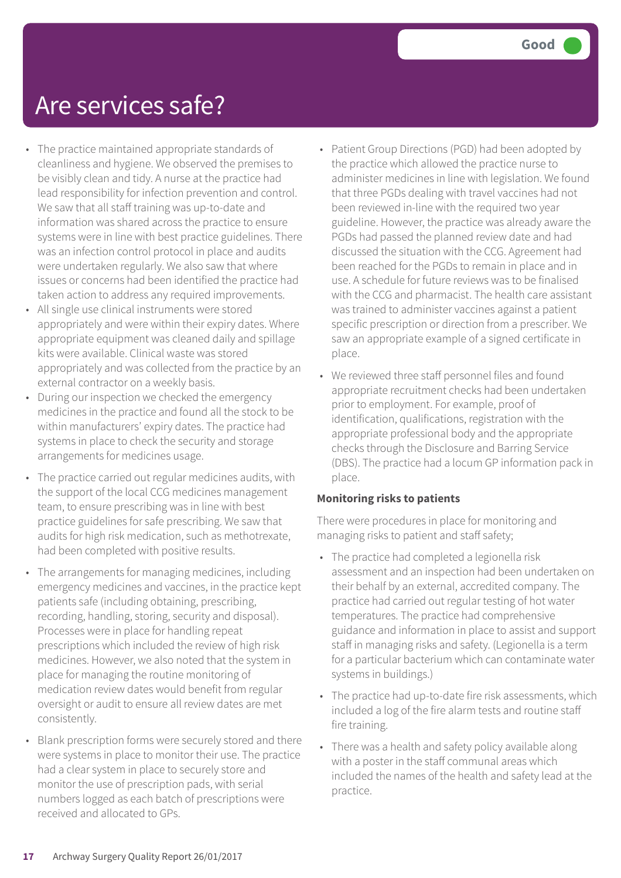### Are services safe?

- The practice maintained appropriate standards of cleanliness and hygiene. We observed the premises to be visibly clean and tidy. A nurse at the practice had lead responsibility for infection prevention and control. We saw that all staff training was up-to-date and information was shared across the practice to ensure systems were in line with best practice guidelines. There was an infection control protocol in place and audits were undertaken regularly. We also saw that where issues or concerns had been identified the practice had taken action to address any required improvements.
- All single use clinical instruments were stored appropriately and were within their expiry dates. Where appropriate equipment was cleaned daily and spillage kits were available. Clinical waste was stored appropriately and was collected from the practice by an external contractor on a weekly basis.
- During our inspection we checked the emergency medicines in the practice and found all the stock to be within manufacturers' expiry dates. The practice had systems in place to check the security and storage arrangements for medicines usage.
- The practice carried out regular medicines audits, with the support of the local CCG medicines management team, to ensure prescribing was in line with best practice guidelines for safe prescribing. We saw that audits for high risk medication, such as methotrexate, had been completed with positive results.
- The arrangements for managing medicines, including emergency medicines and vaccines, in the practice kept patients safe (including obtaining, prescribing, recording, handling, storing, security and disposal). Processes were in place for handling repeat prescriptions which included the review of high risk medicines. However, we also noted that the system in place for managing the routine monitoring of medication review dates would benefit from regular oversight or audit to ensure all review dates are met consistently.
- Blank prescription forms were securely stored and there were systems in place to monitor their use. The practice had a clear system in place to securely store and monitor the use of prescription pads, with serial numbers logged as each batch of prescriptions were received and allocated to GPs.
- Patient Group Directions (PGD) had been adopted by the practice which allowed the practice nurse to administer medicines in line with legislation. We found that three PGDs dealing with travel vaccines had not been reviewed in-line with the required two year guideline. However, the practice was already aware the PGDs had passed the planned review date and had discussed the situation with the CCG. Agreement had been reached for the PGDs to remain in place and in use. A schedule for future reviews was to be finalised with the CCG and pharmacist. The health care assistant was trained to administer vaccines against a patient specific prescription or direction from a prescriber. We saw an appropriate example of a signed certificate in place.
- We reviewed three staff personnel files and found appropriate recruitment checks had been undertaken prior to employment. For example, proof of identification, qualifications, registration with the appropriate professional body and the appropriate checks through the Disclosure and Barring Service (DBS). The practice had a locum GP information pack in place.

#### **Monitoring risks to patients**

There were procedures in place for monitoring and managing risks to patient and staff safety;

- The practice had completed a legionella risk assessment and an inspection had been undertaken on their behalf by an external, accredited company. The practice had carried out regular testing of hot water temperatures. The practice had comprehensive guidance and information in place to assist and support staff in managing risks and safety. (Legionella is a term for a particular bacterium which can contaminate water systems in buildings.)
- The practice had up-to-date fire risk assessments, which included a log of the fire alarm tests and routine staff fire training.
- There was a health and safety policy available along with a poster in the staff communal areas which included the names of the health and safety lead at the practice.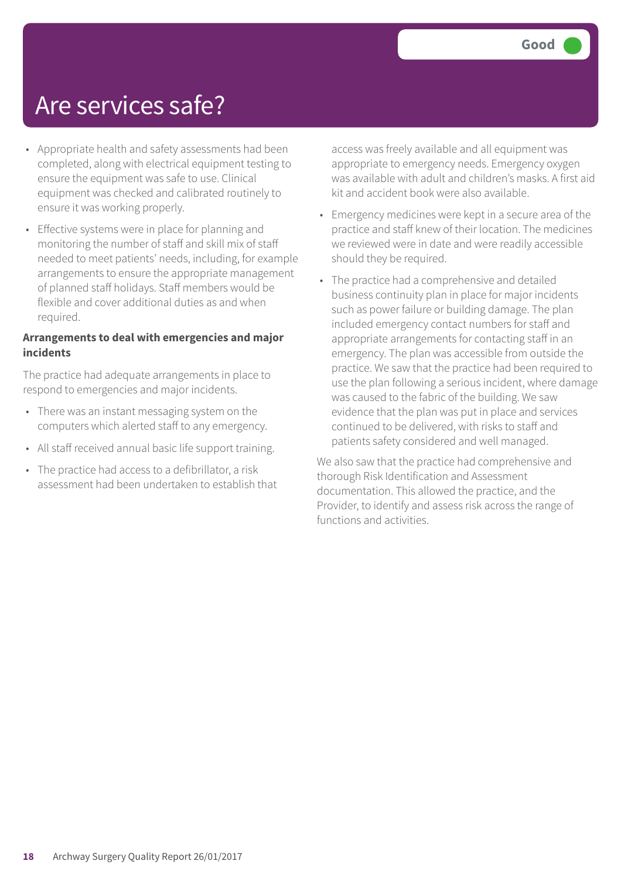### Are services safe?

- Appropriate health and safety assessments had been completed, along with electrical equipment testing to ensure the equipment was safe to use. Clinical equipment was checked and calibrated routinely to ensure it was working properly.
- Effective systems were in place for planning and monitoring the number of staff and skill mix of staff needed to meet patients' needs, including, for example arrangements to ensure the appropriate management of planned staff holidays. Staff members would be flexible and cover additional duties as and when required.

#### **Arrangements to deal with emergencies and major incidents**

The practice had adequate arrangements in place to respond to emergencies and major incidents.

- There was an instant messaging system on the computers which alerted staff to any emergency.
- All staff received annual basic life support training.
- The practice had access to a defibrillator, a risk assessment had been undertaken to establish that

access was freely available and all equipment was appropriate to emergency needs. Emergency oxygen was available with adult and children's masks. A first aid kit and accident book were also available.

- Emergency medicines were kept in a secure area of the practice and staff knew of their location. The medicines we reviewed were in date and were readily accessible should they be required.
- The practice had a comprehensive and detailed business continuity plan in place for major incidents such as power failure or building damage. The plan included emergency contact numbers for staff and appropriate arrangements for contacting staff in an emergency. The plan was accessible from outside the practice. We saw that the practice had been required to use the plan following a serious incident, where damage was caused to the fabric of the building. We saw evidence that the plan was put in place and services continued to be delivered, with risks to staff and patients safety considered and well managed.

We also saw that the practice had comprehensive and thorough Risk Identification and Assessment documentation. This allowed the practice, and the Provider, to identify and assess risk across the range of functions and activities.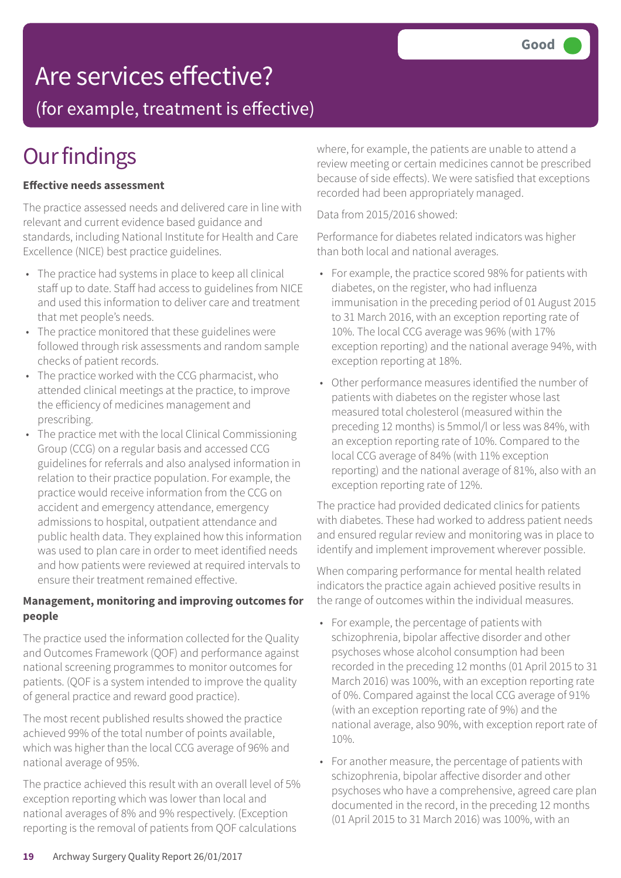### Are services effective?

(for example, treatment is effective)

## **Our findings**

#### **Effective needs assessment**

The practice assessed needs and delivered care in line with relevant and current evidence based guidance and standards, including National Institute for Health and Care Excellence (NICE) best practice guidelines.

- The practice had systems in place to keep all clinical staff up to date. Staff had access to guidelines from NICE and used this information to deliver care and treatment that met people's needs.
- The practice monitored that these guidelines were followed through risk assessments and random sample checks of patient records.
- The practice worked with the CCG pharmacist, who attended clinical meetings at the practice, to improve the efficiency of medicines management and prescribing.
- The practice met with the local Clinical Commissioning Group (CCG) on a regular basis and accessed CCG guidelines for referrals and also analysed information in relation to their practice population. For example, the practice would receive information from the CCG on accident and emergency attendance, emergency admissions to hospital, outpatient attendance and public health data. They explained how this information was used to plan care in order to meet identified needs and how patients were reviewed at required intervals to ensure their treatment remained effective.

#### **Management, monitoring and improving outcomes for people**

The practice used the information collected for the Quality and Outcomes Framework (QOF) and performance against national screening programmes to monitor outcomes for patients. (QOF is a system intended to improve the quality of general practice and reward good practice).

The most recent published results showed the practice achieved 99% of the total number of points available, which was higher than the local CCG average of 96% and national average of 95%.

The practice achieved this result with an overall level of 5% exception reporting which was lower than local and national averages of 8% and 9% respectively. (Exception reporting is the removal of patients from QOF calculations

where, for example, the patients are unable to attend a review meeting or certain medicines cannot be prescribed because of side effects). We were satisfied that exceptions recorded had been appropriately managed.

Data from 2015/2016 showed:

Performance for diabetes related indicators was higher than both local and national averages.

- For example, the practice scored 98% for patients with diabetes, on the register, who had influenza immunisation in the preceding period of 01 August 2015 to 31 March 2016, with an exception reporting rate of 10%. The local CCG average was 96% (with 17% exception reporting) and the national average 94%, with exception reporting at 18%.
- Other performance measures identified the number of patients with diabetes on the register whose last measured total cholesterol (measured within the preceding 12 months) is 5mmol/l or less was 84%, with an exception reporting rate of 10%. Compared to the local CCG average of 84% (with 11% exception reporting) and the national average of 81%, also with an exception reporting rate of 12%.

The practice had provided dedicated clinics for patients with diabetes. These had worked to address patient needs and ensured regular review and monitoring was in place to identify and implement improvement wherever possible.

When comparing performance for mental health related indicators the practice again achieved positive results in the range of outcomes within the individual measures.

- For example, the percentage of patients with schizophrenia, bipolar affective disorder and other psychoses whose alcohol consumption had been recorded in the preceding 12 months (01 April 2015 to 31 March 2016) was 100%, with an exception reporting rate of 0%. Compared against the local CCG average of 91% (with an exception reporting rate of 9%) and the national average, also 90%, with exception report rate of 10%.
- For another measure, the percentage of patients with schizophrenia, bipolar affective disorder and other psychoses who have a comprehensive, agreed care plan documented in the record, in the preceding 12 months (01 April 2015 to 31 March 2016) was 100%, with an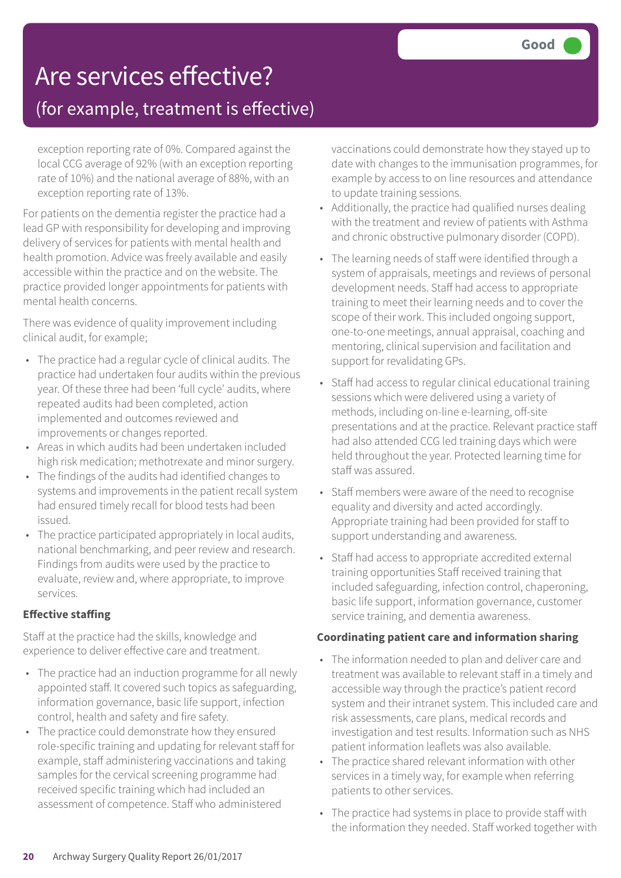### Are services effective?

### (for example, treatment is effective)

exception reporting rate of 0%. Compared against the local CCG average of 92% (with an exception reporting rate of 10%) and the national average of 88%, with an exception reporting rate of 13%.

For patients on the dementia register the practice had a lead GP with responsibility for developing and improving delivery of services for patients with mental health and health promotion. Advice was freely available and easily accessible within the practice and on the website. The practice provided longer appointments for patients with mental health concerns.

There was evidence of quality improvement including clinical audit, for example;

- The practice had a regular cycle of clinical audits. The practice had undertaken four audits within the previous year. Of these three had been 'full cycle' audits, where repeated audits had been completed, action implemented and outcomes reviewed and improvements or changes reported.
- Areas in which audits had been undertaken included high risk medication; methotrexate and minor surgery.
- The findings of the audits had identified changes to systems and improvements in the patient recall system had ensured timely recall for blood tests had been issued.
- The practice participated appropriately in local audits, national benchmarking, and peer review and research. Findings from audits were used by the practice to evaluate, review and, where appropriate, to improve services.

### **Effective staffing**

Staff at the practice had the skills, knowledge and experience to deliver effective care and treatment.

- The practice had an induction programme for all newly appointed staff. It covered such topics as safeguarding, information governance, basic life support, infection control, health and safety and fire safety.
- The practice could demonstrate how they ensured role-specific training and updating for relevant staff for example, staff administering vaccinations and taking samples for the cervical screening programme had received specific training which had included an assessment of competence. Staff who administered

vaccinations could demonstrate how they stayed up to date with changes to the immunisation programmes, for example by access to on line resources and attendance to update training sessions.

- Additionally, the practice had qualified nurses dealing with the treatment and review of patients with Asthma and chronic obstructive pulmonary disorder (COPD).
- The learning needs of staff were identified through a system of appraisals, meetings and reviews of personal development needs. Staff had access to appropriate training to meet their learning needs and to cover the scope of their work. This included ongoing support, one-to-one meetings, annual appraisal, coaching and mentoring, clinical supervision and facilitation and support for revalidating GPs.
- Staff had access to regular clinical educational training sessions which were delivered using a variety of methods, including on-line e-learning, off-site presentations and at the practice. Relevant practice staff had also attended CCG led training days which were held throughout the year. Protected learning time for staff was assured.
- Staff members were aware of the need to recognise equality and diversity and acted accordingly. Appropriate training had been provided for staff to support understanding and awareness.
- Staff had access to appropriate accredited external training opportunities Staff received training that included safeguarding, infection control, chaperoning, basic life support, information governance, customer service training, and dementia awareness.

### **Coordinating patient care and information sharing**

- The information needed to plan and deliver care and treatment was available to relevant staff in a timely and accessible way through the practice's patient record system and their intranet system. This included care and risk assessments, care plans, medical records and investigation and test results. Information such as NHS patient information leaflets was also available.
- The practice shared relevant information with other services in a timely way, for example when referring patients to other services.
- The practice had systems in place to provide staff with the information they needed. Staff worked together with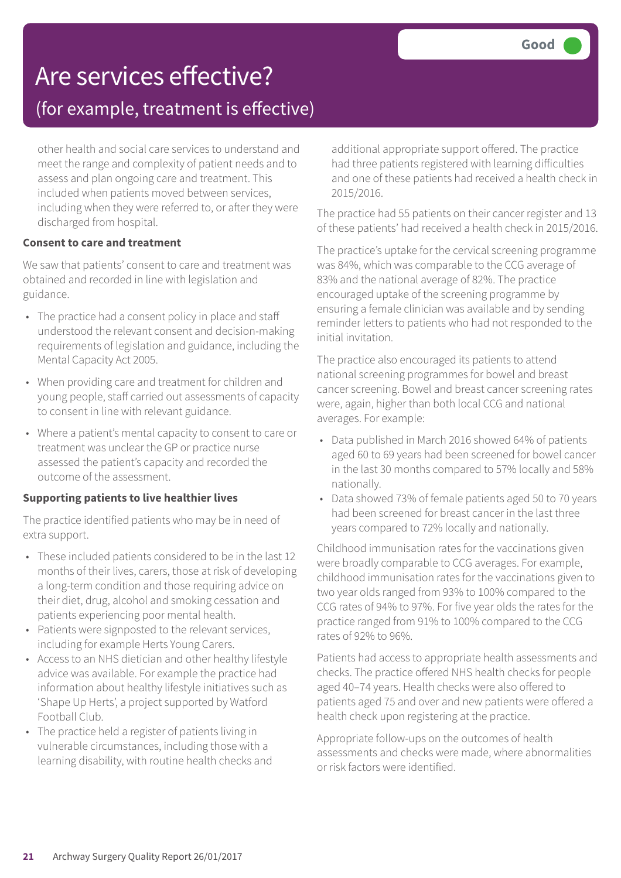# Are services effective?

### (for example, treatment is effective)

other health and social care services to understand and meet the range and complexity of patient needs and to assess and plan ongoing care and treatment. This included when patients moved between services, including when they were referred to, or after they were discharged from hospital.

#### **Consent to care and treatment**

We saw that patients' consent to care and treatment was obtained and recorded in line with legislation and guidance.

- The practice had a consent policy in place and staff understood the relevant consent and decision-making requirements of legislation and guidance, including the Mental Capacity Act 2005.
- When providing care and treatment for children and young people, staff carried out assessments of capacity to consent in line with relevant guidance.
- Where a patient's mental capacity to consent to care or treatment was unclear the GP or practice nurse assessed the patient's capacity and recorded the outcome of the assessment.

#### **Supporting patients to live healthier lives**

The practice identified patients who may be in need of extra support.

- These included patients considered to be in the last 12 months of their lives, carers, those at risk of developing a long-term condition and those requiring advice on their diet, drug, alcohol and smoking cessation and patients experiencing poor mental health.
- Patients were signposted to the relevant services, including for example Herts Young Carers.
- Access to an NHS dietician and other healthy lifestyle advice was available. For example the practice had information about healthy lifestyle initiatives such as 'Shape Up Herts', a project supported by Watford Football Club.
- The practice held a register of patients living in vulnerable circumstances, including those with a learning disability, with routine health checks and

additional appropriate support offered. The practice had three patients registered with learning difficulties and one of these patients had received a health check in 2015/2016.

The practice had 55 patients on their cancer register and 13 of these patients' had received a health check in 2015/2016.

The practice's uptake for the cervical screening programme was 84%, which was comparable to the CCG average of 83% and the national average of 82%. The practice encouraged uptake of the screening programme by ensuring a female clinician was available and by sending reminder letters to patients who had not responded to the initial invitation.

The practice also encouraged its patients to attend national screening programmes for bowel and breast cancer screening. Bowel and breast cancer screening rates were, again, higher than both local CCG and national averages. For example:

- Data published in March 2016 showed 64% of patients aged 60 to 69 years had been screened for bowel cancer in the last 30 months compared to 57% locally and 58% nationally.
- Data showed 73% of female patients aged 50 to 70 years had been screened for breast cancer in the last three years compared to 72% locally and nationally.

Childhood immunisation rates for the vaccinations given were broadly comparable to CCG averages. For example, childhood immunisation rates for the vaccinations given to two year olds ranged from 93% to 100% compared to the CCG rates of 94% to 97%. For five year olds the rates for the practice ranged from 91% to 100% compared to the CCG rates of 92% to 96%.

Patients had access to appropriate health assessments and checks. The practice offered NHS health checks for people aged 40–74 years. Health checks were also offered to patients aged 75 and over and new patients were offered a health check upon registering at the practice.

Appropriate follow-ups on the outcomes of health assessments and checks were made, where abnormalities or risk factors were identified.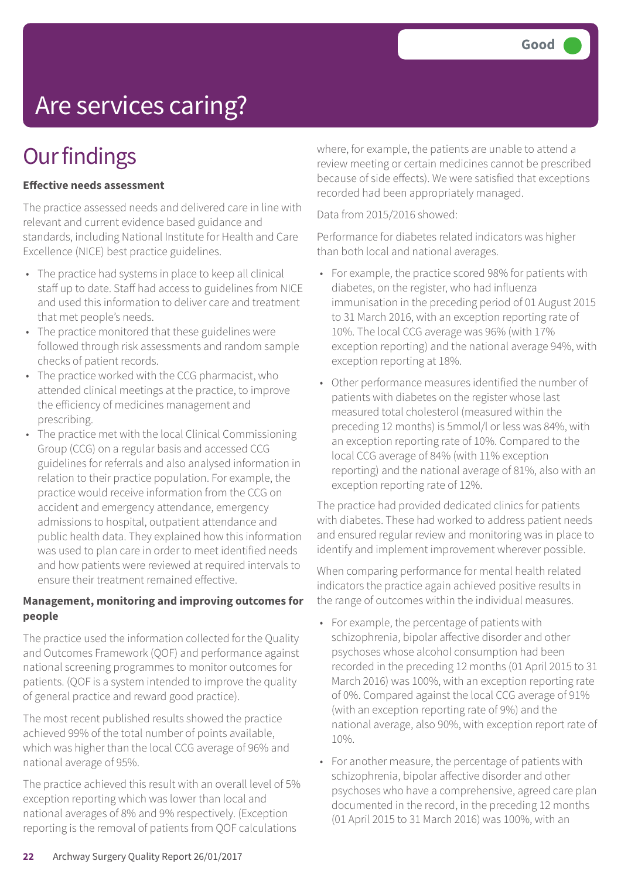# Are services caring?

## **Our findings**

#### **Effective needs assessment**

The practice assessed needs and delivered care in line with relevant and current evidence based guidance and standards, including National Institute for Health and Care Excellence (NICE) best practice guidelines.

- The practice had systems in place to keep all clinical staff up to date. Staff had access to guidelines from NICE and used this information to deliver care and treatment that met people's needs.
- The practice monitored that these guidelines were followed through risk assessments and random sample checks of patient records.
- The practice worked with the CCG pharmacist, who attended clinical meetings at the practice, to improve the efficiency of medicines management and prescribing.
- The practice met with the local Clinical Commissioning Group (CCG) on a regular basis and accessed CCG guidelines for referrals and also analysed information in relation to their practice population. For example, the practice would receive information from the CCG on accident and emergency attendance, emergency admissions to hospital, outpatient attendance and public health data. They explained how this information was used to plan care in order to meet identified needs and how patients were reviewed at required intervals to ensure their treatment remained effective.

#### **Management, monitoring and improving outcomes for people**

The practice used the information collected for the Quality and Outcomes Framework (QOF) and performance against national screening programmes to monitor outcomes for patients. (QOF is a system intended to improve the quality of general practice and reward good practice).

The most recent published results showed the practice achieved 99% of the total number of points available, which was higher than the local CCG average of 96% and national average of 95%.

The practice achieved this result with an overall level of 5% exception reporting which was lower than local and national averages of 8% and 9% respectively. (Exception reporting is the removal of patients from QOF calculations

where, for example, the patients are unable to attend a review meeting or certain medicines cannot be prescribed because of side effects). We were satisfied that exceptions recorded had been appropriately managed.

Data from 2015/2016 showed:

Performance for diabetes related indicators was higher than both local and national averages.

- For example, the practice scored 98% for patients with diabetes, on the register, who had influenza immunisation in the preceding period of 01 August 2015 to 31 March 2016, with an exception reporting rate of 10%. The local CCG average was 96% (with 17% exception reporting) and the national average 94%, with exception reporting at 18%.
- Other performance measures identified the number of patients with diabetes on the register whose last measured total cholesterol (measured within the preceding 12 months) is 5mmol/l or less was 84%, with an exception reporting rate of 10%. Compared to the local CCG average of 84% (with 11% exception reporting) and the national average of 81%, also with an exception reporting rate of 12%.

The practice had provided dedicated clinics for patients with diabetes. These had worked to address patient needs and ensured regular review and monitoring was in place to identify and implement improvement wherever possible.

When comparing performance for mental health related indicators the practice again achieved positive results in the range of outcomes within the individual measures.

- For example, the percentage of patients with schizophrenia, bipolar affective disorder and other psychoses whose alcohol consumption had been recorded in the preceding 12 months (01 April 2015 to 31 March 2016) was 100%, with an exception reporting rate of 0%. Compared against the local CCG average of 91% (with an exception reporting rate of 9%) and the national average, also 90%, with exception report rate of 10%.
- For another measure, the percentage of patients with schizophrenia, bipolar affective disorder and other psychoses who have a comprehensive, agreed care plan documented in the record, in the preceding 12 months (01 April 2015 to 31 March 2016) was 100%, with an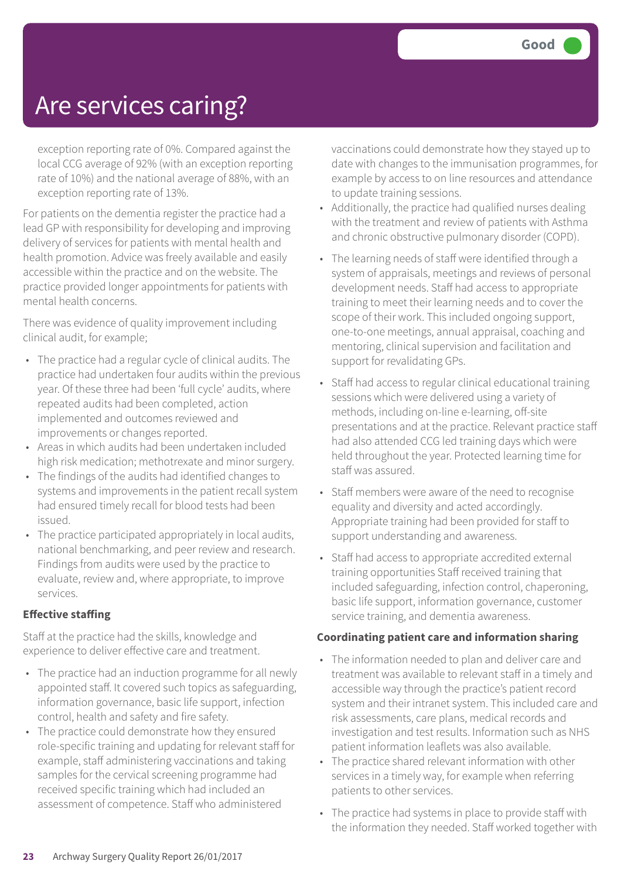### Are services caring?

exception reporting rate of 0%. Compared against the local CCG average of 92% (with an exception reporting rate of 10%) and the national average of 88%, with an exception reporting rate of 13%.

For patients on the dementia register the practice had a lead GP with responsibility for developing and improving delivery of services for patients with mental health and health promotion. Advice was freely available and easily accessible within the practice and on the website. The practice provided longer appointments for patients with mental health concerns.

There was evidence of quality improvement including clinical audit, for example;

- The practice had a regular cycle of clinical audits. The practice had undertaken four audits within the previous year. Of these three had been 'full cycle' audits, where repeated audits had been completed, action implemented and outcomes reviewed and improvements or changes reported.
- Areas in which audits had been undertaken included high risk medication; methotrexate and minor surgery.
- The findings of the audits had identified changes to systems and improvements in the patient recall system had ensured timely recall for blood tests had been issued.
- The practice participated appropriately in local audits, national benchmarking, and peer review and research. Findings from audits were used by the practice to evaluate, review and, where appropriate, to improve services.

#### **Effective staffing**

Staff at the practice had the skills, knowledge and experience to deliver effective care and treatment.

- The practice had an induction programme for all newly appointed staff. It covered such topics as safeguarding, information governance, basic life support, infection control, health and safety and fire safety.
- The practice could demonstrate how they ensured role-specific training and updating for relevant staff for example, staff administering vaccinations and taking samples for the cervical screening programme had received specific training which had included an assessment of competence. Staff who administered

vaccinations could demonstrate how they stayed up to date with changes to the immunisation programmes, for example by access to on line resources and attendance to update training sessions.

- Additionally, the practice had qualified nurses dealing with the treatment and review of patients with Asthma and chronic obstructive pulmonary disorder (COPD).
- The learning needs of staff were identified through a system of appraisals, meetings and reviews of personal development needs. Staff had access to appropriate training to meet their learning needs and to cover the scope of their work. This included ongoing support, one-to-one meetings, annual appraisal, coaching and mentoring, clinical supervision and facilitation and support for revalidating GPs.
- Staff had access to regular clinical educational training sessions which were delivered using a variety of methods, including on-line e-learning, off-site presentations and at the practice. Relevant practice staff had also attended CCG led training days which were held throughout the year. Protected learning time for staff was assured.
- Staff members were aware of the need to recognise equality and diversity and acted accordingly. Appropriate training had been provided for staff to support understanding and awareness.
- Staff had access to appropriate accredited external training opportunities Staff received training that included safeguarding, infection control, chaperoning, basic life support, information governance, customer service training, and dementia awareness.

#### **Coordinating patient care and information sharing**

- The information needed to plan and deliver care and treatment was available to relevant staff in a timely and accessible way through the practice's patient record system and their intranet system. This included care and risk assessments, care plans, medical records and investigation and test results. Information such as NHS patient information leaflets was also available.
- The practice shared relevant information with other services in a timely way, for example when referring patients to other services.
- The practice had systems in place to provide staff with the information they needed. Staff worked together with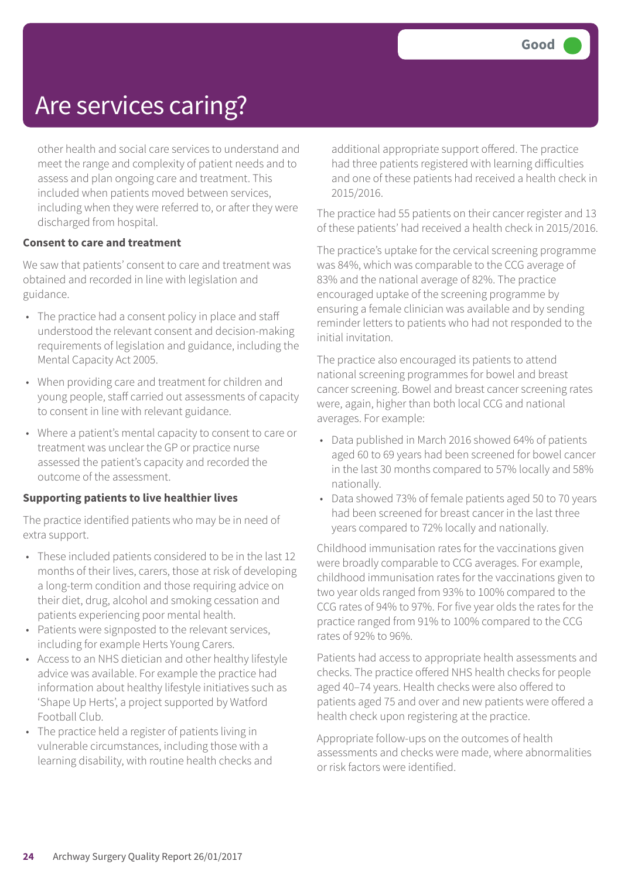### Are services caring?

other health and social care services to understand and meet the range and complexity of patient needs and to assess and plan ongoing care and treatment. This included when patients moved between services, including when they were referred to, or after they were discharged from hospital.

#### **Consent to care and treatment**

We saw that patients' consent to care and treatment was obtained and recorded in line with legislation and guidance.

- The practice had a consent policy in place and staff understood the relevant consent and decision-making requirements of legislation and guidance, including the Mental Capacity Act 2005.
- When providing care and treatment for children and young people, staff carried out assessments of capacity to consent in line with relevant guidance.
- Where a patient's mental capacity to consent to care or treatment was unclear the GP or practice nurse assessed the patient's capacity and recorded the outcome of the assessment.

#### **Supporting patients to live healthier lives**

The practice identified patients who may be in need of extra support.

- These included patients considered to be in the last 12 months of their lives, carers, those at risk of developing a long-term condition and those requiring advice on their diet, drug, alcohol and smoking cessation and patients experiencing poor mental health.
- Patients were signposted to the relevant services, including for example Herts Young Carers.
- Access to an NHS dietician and other healthy lifestyle advice was available. For example the practice had information about healthy lifestyle initiatives such as 'Shape Up Herts', a project supported by Watford Football Club.
- The practice held a register of patients living in vulnerable circumstances, including those with a learning disability, with routine health checks and

additional appropriate support offered. The practice had three patients registered with learning difficulties and one of these patients had received a health check in 2015/2016.

The practice had 55 patients on their cancer register and 13 of these patients' had received a health check in 2015/2016.

The practice's uptake for the cervical screening programme was 84%, which was comparable to the CCG average of 83% and the national average of 82%. The practice encouraged uptake of the screening programme by ensuring a female clinician was available and by sending reminder letters to patients who had not responded to the initial invitation.

The practice also encouraged its patients to attend national screening programmes for bowel and breast cancer screening. Bowel and breast cancer screening rates were, again, higher than both local CCG and national averages. For example:

- Data published in March 2016 showed 64% of patients aged 60 to 69 years had been screened for bowel cancer in the last 30 months compared to 57% locally and 58% nationally.
- Data showed 73% of female patients aged 50 to 70 years had been screened for breast cancer in the last three years compared to 72% locally and nationally.

Childhood immunisation rates for the vaccinations given were broadly comparable to CCG averages. For example, childhood immunisation rates for the vaccinations given to two year olds ranged from 93% to 100% compared to the CCG rates of 94% to 97%. For five year olds the rates for the practice ranged from 91% to 100% compared to the CCG rates of 92% to 96%.

Patients had access to appropriate health assessments and checks. The practice offered NHS health checks for people aged 40–74 years. Health checks were also offered to patients aged 75 and over and new patients were offered a health check upon registering at the practice.

Appropriate follow-ups on the outcomes of health assessments and checks were made, where abnormalities or risk factors were identified.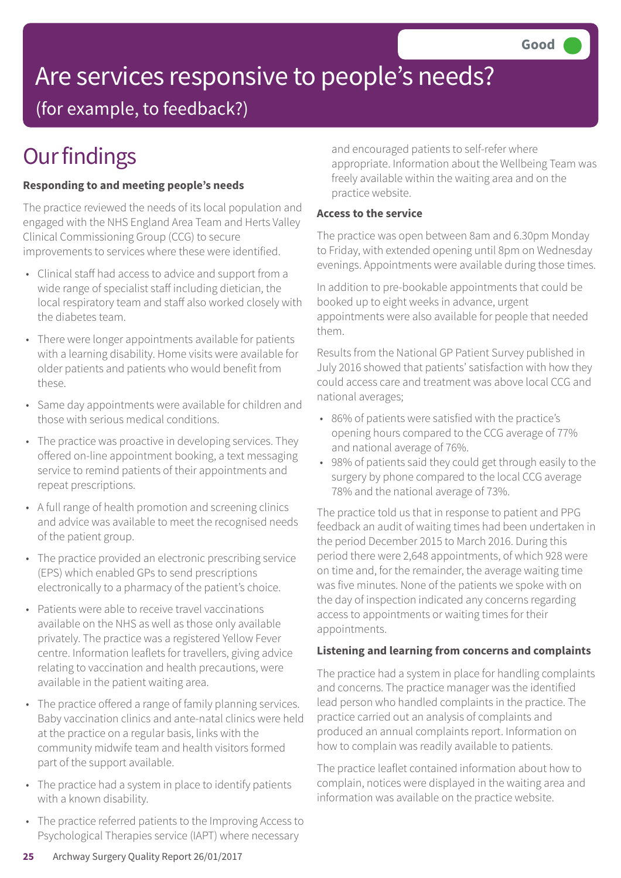# Are services responsive to people's needs?

(for example, to feedback?)

# **Our findings**

### **Responding to and meeting people's needs**

The practice reviewed the needs of its local population and engaged with the NHS England Area Team and Herts Valley Clinical Commissioning Group (CCG) to secure improvements to services where these were identified.

- Clinical staff had access to advice and support from a wide range of specialist staff including dietician, the local respiratory team and staff also worked closely with the diabetes team.
- There were longer appointments available for patients with a learning disability. Home visits were available for older patients and patients who would benefit from these.
- Same day appointments were available for children and those with serious medical conditions.
- The practice was proactive in developing services. They offered on-line appointment booking, a text messaging service to remind patients of their appointments and repeat prescriptions.
- A full range of health promotion and screening clinics and advice was available to meet the recognised needs of the patient group.
- The practice provided an electronic prescribing service (EPS) which enabled GPs to send prescriptions electronically to a pharmacy of the patient's choice.
- Patients were able to receive travel vaccinations available on the NHS as well as those only available privately. The practice was a registered Yellow Fever centre. Information leaflets for travellers, giving advice relating to vaccination and health precautions, were available in the patient waiting area.
- The practice offered a range of family planning services. Baby vaccination clinics and ante-natal clinics were held at the practice on a regular basis, links with the community midwife team and health visitors formed part of the support available.
- The practice had a system in place to identify patients with a known disability.
- The practice referred patients to the Improving Access to Psychological Therapies service (IAPT) where necessary

and encouraged patients to self-refer where appropriate. Information about the Wellbeing Team was freely available within the waiting area and on the practice website.

### **Access to the service**

The practice was open between 8am and 6.30pm Monday to Friday, with extended opening until 8pm on Wednesday evenings. Appointments were available during those times.

In addition to pre-bookable appointments that could be booked up to eight weeks in advance, urgent appointments were also available for people that needed them.

Results from the National GP Patient Survey published in July 2016 showed that patients' satisfaction with how they could access care and treatment was above local CCG and national averages;

- 86% of patients were satisfied with the practice's opening hours compared to the CCG average of 77% and national average of 76%.
- 98% of patients said they could get through easily to the surgery by phone compared to the local CCG average 78% and the national average of 73%.

The practice told us that in response to patient and PPG feedback an audit of waiting times had been undertaken in the period December 2015 to March 2016. During this period there were 2,648 appointments, of which 928 were on time and, for the remainder, the average waiting time was five minutes. None of the patients we spoke with on the day of inspection indicated any concerns regarding access to appointments or waiting times for their appointments.

### **Listening and learning from concerns and complaints**

The practice had a system in place for handling complaints and concerns. The practice manager was the identified lead person who handled complaints in the practice. The practice carried out an analysis of complaints and produced an annual complaints report. Information on how to complain was readily available to patients.

The practice leaflet contained information about how to complain, notices were displayed in the waiting area and information was available on the practice website.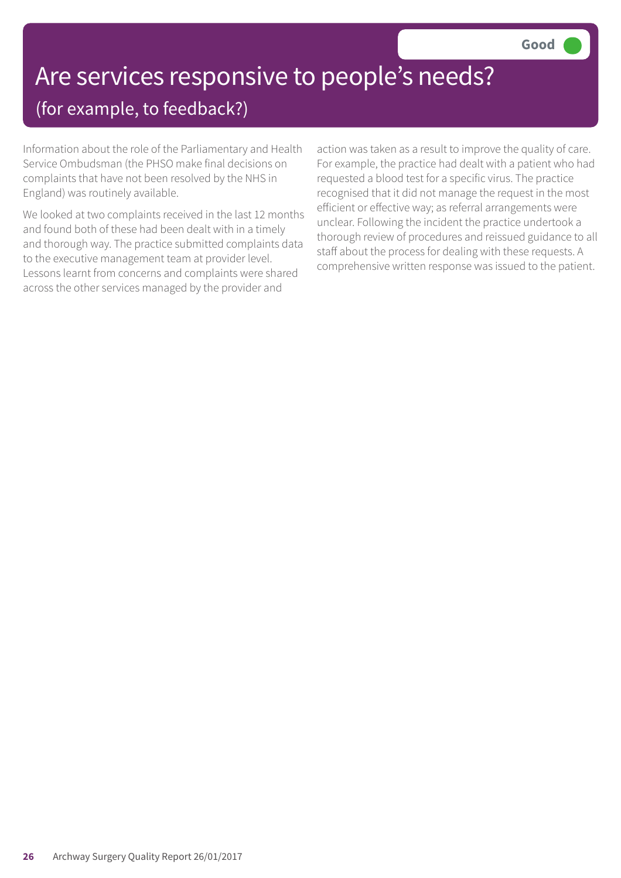# Are services responsive to people's needs?

### (for example, to feedback?)

Information about the role of the Parliamentary and Health Service Ombudsman (the PHSO make final decisions on complaints that have not been resolved by the NHS in England) was routinely available.

We looked at two complaints received in the last 12 months and found both of these had been dealt with in a timely and thorough way. The practice submitted complaints data to the executive management team at provider level. Lessons learnt from concerns and complaints were shared across the other services managed by the provider and

action was taken as a result to improve the quality of care. For example, the practice had dealt with a patient who had requested a blood test for a specific virus. The practice recognised that it did not manage the request in the most efficient or effective way; as referral arrangements were unclear. Following the incident the practice undertook a thorough review of procedures and reissued guidance to all staff about the process for dealing with these requests. A comprehensive written response was issued to the patient.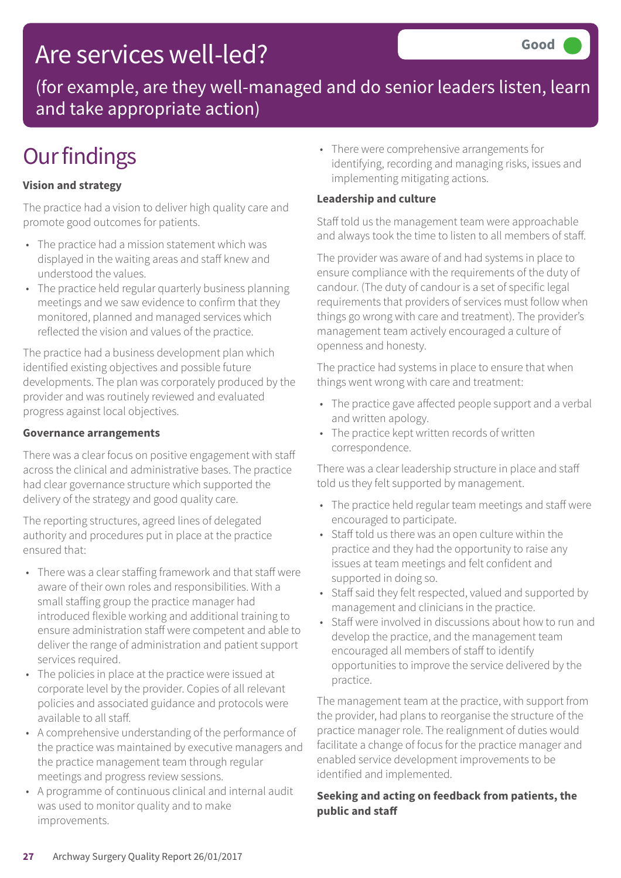### Are services well-led?

(for example, are they well-managed and do senior leaders listen, learn and take appropriate action)

## **Our findings**

### **Vision and strategy**

The practice had a vision to deliver high quality care and promote good outcomes for patients.

- The practice had a mission statement which was displayed in the waiting areas and staff knew and understood the values.
- The practice held regular quarterly business planning meetings and we saw evidence to confirm that they monitored, planned and managed services which reflected the vision and values of the practice.

The practice had a business development plan which identified existing objectives and possible future developments. The plan was corporately produced by the provider and was routinely reviewed and evaluated progress against local objectives.

#### **Governance arrangements**

There was a clear focus on positive engagement with staff across the clinical and administrative bases. The practice had clear governance structure which supported the delivery of the strategy and good quality care.

The reporting structures, agreed lines of delegated authority and procedures put in place at the practice ensured that:

- There was a clear staffing framework and that staff were aware of their own roles and responsibilities. With a small staffing group the practice manager had introduced flexible working and additional training to ensure administration staff were competent and able to deliver the range of administration and patient support services required.
- The policies in place at the practice were issued at corporate level by the provider. Copies of all relevant policies and associated guidance and protocols were available to all staff.
- A comprehensive understanding of the performance of the practice was maintained by executive managers and the practice management team through regular meetings and progress review sessions.
- A programme of continuous clinical and internal audit was used to monitor quality and to make improvements.

• There were comprehensive arrangements for identifying, recording and managing risks, issues and implementing mitigating actions.

### **Leadership and culture**

Staff told us the management team were approachable and always took the time to listen to all members of staff.

The provider was aware of and had systems in place to ensure compliance with the requirements of the duty of candour. (The duty of candour is a set of specific legal requirements that providers of services must follow when things go wrong with care and treatment). The provider's management team actively encouraged a culture of openness and honesty.

The practice had systems in place to ensure that when things went wrong with care and treatment:

- The practice gave affected people support and a verbal and written apology.
- The practice kept written records of written correspondence.

There was a clear leadership structure in place and staff told us they felt supported by management.

- The practice held regular team meetings and staff were encouraged to participate.
- Staff told us there was an open culture within the practice and they had the opportunity to raise any issues at team meetings and felt confident and supported in doing so.
- Staff said they felt respected, valued and supported by management and clinicians in the practice.
- Staff were involved in discussions about how to run and develop the practice, and the management team encouraged all members of staff to identify opportunities to improve the service delivered by the practice.

The management team at the practice, with support from the provider, had plans to reorganise the structure of the practice manager role. The realignment of duties would facilitate a change of focus for the practice manager and enabled service development improvements to be identified and implemented.

### **Seeking and acting on feedback from patients, the public and staff**